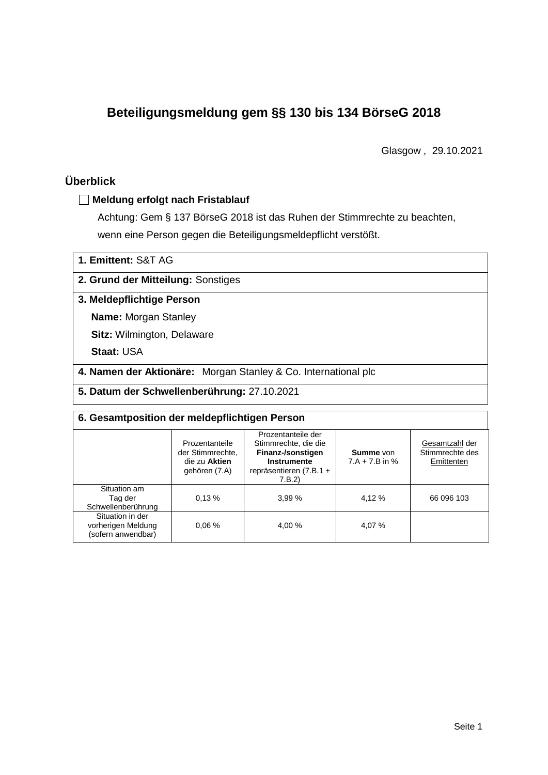# **Beteiligungsmeldung gem §§ 130 bis 134 BörseG 2018**

Glasgow , 29.10.2021

# **Überblick**

### **Meldung erfolgt nach Fristablauf**

Achtung: Gem § 137 BörseG 2018 ist das Ruhen der Stimmrechte zu beachten, wenn eine Person gegen die Beteiligungsmeldepflicht verstößt.

## **2. Grund der Mitteilung:** Sonstiges

### **3. Meldepflichtige Person**

**Name:** Morgan Stanley

**Sitz:** Wilmington, Delaware

**Staat:** USA

**4. Namen der Aktionäre:** Morgan Stanley & Co. International plc

**5. Datum der Schwellenberührung:** 27.10.2021

| 6. Gesamtposition der meldepflichtigen Person                |                                                                      |                                                                                                                      |                               |                                                 |  |  |
|--------------------------------------------------------------|----------------------------------------------------------------------|----------------------------------------------------------------------------------------------------------------------|-------------------------------|-------------------------------------------------|--|--|
|                                                              | Prozentanteile<br>der Stimmrechte.<br>die zu Aktien<br>gehören (7.A) | Prozentanteile der<br>Stimmrechte, die die<br>Finanz-/sonstigen<br>Instrumente<br>repräsentieren $(7.B.1 +$<br>7.B.2 | Summe von<br>$7.A + 7.B$ in % | Gesamtzahl der<br>Stimmrechte des<br>Emittenten |  |  |
| Situation am<br>Tag der<br>Schwellenberührung                | 0.13%                                                                | 3.99%                                                                                                                | 4,12 %                        | 66 096 103                                      |  |  |
| Situation in der<br>vorherigen Meldung<br>(sofern anwendbar) | 0.06%                                                                | 4.00 %                                                                                                               | 4,07 %                        |                                                 |  |  |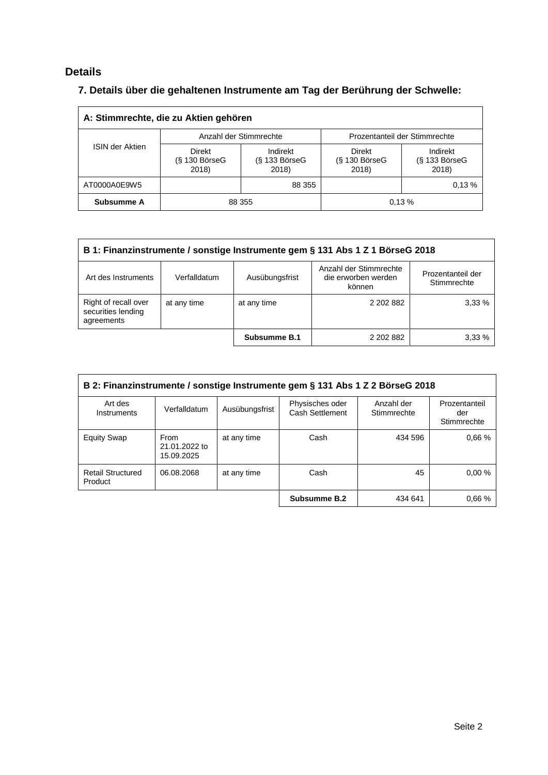## **Details**

# **7. Details über die gehaltenen Instrumente am Tag der Berührung der Schwelle:**

| A: Stimmrechte, die zu Aktien gehören |                                    |                                      |                                           |                                    |  |  |
|---------------------------------------|------------------------------------|--------------------------------------|-------------------------------------------|------------------------------------|--|--|
|                                       |                                    | Anzahl der Stimmrechte               | Prozentanteil der Stimmrechte             |                                    |  |  |
| <b>ISIN der Aktien</b>                | Direkt<br>$(S$ 130 BörseG<br>2018) | Indirekt<br>$(S$ 133 BörseG<br>2018) | <b>Direkt</b><br>$(S$ 130 BörseG<br>2018) | Indirekt<br>(§ 133 BörseG<br>2018) |  |  |
| AT0000A0E9W5                          |                                    | 88 355                               |                                           | 0.13%                              |  |  |
| Subsumme A                            | 88 355                             |                                      |                                           | 0.13%                              |  |  |

| B 1: Finanzinstrumente / sonstige Instrumente gem § 131 Abs 1 Z 1 BörseG 2018                                                                        |             |              |           |       |  |  |
|------------------------------------------------------------------------------------------------------------------------------------------------------|-------------|--------------|-----------|-------|--|--|
| Anzahl der Stimmrechte<br>Prozentanteil der<br>Art des Instruments<br>Verfalldatum<br>Ausübungsfrist<br>die erworben werden<br>Stimmrechte<br>können |             |              |           |       |  |  |
| Right of recall over<br>securities lending<br>agreements                                                                                             | at any time | at any time  | 2 202 882 | 3,33% |  |  |
|                                                                                                                                                      |             | Subsumme B.1 | 2 202 882 | 3.33% |  |  |

| B 2: Finanzinstrumente / sonstige Instrumente gem § 131 Abs 1 Z 2 BörseG 2018 |                                     |                |                                    |                           |                                     |
|-------------------------------------------------------------------------------|-------------------------------------|----------------|------------------------------------|---------------------------|-------------------------------------|
| Art des<br>Instruments                                                        | Verfalldatum                        | Ausübungsfrist | Physisches oder<br>Cash Settlement | Anzahl der<br>Stimmrechte | Prozentanteil<br>der<br>Stimmrechte |
| <b>Equity Swap</b>                                                            | From<br>21.01.2022 to<br>15.09.2025 | at any time    | Cash                               | 434 596                   | 0.66%                               |
| <b>Retail Structured</b><br>Product                                           | 06.08.2068                          | at any time    | Cash                               | 45                        | 0.00%                               |
|                                                                               |                                     |                | Subsumme B.2                       | 434 641                   | 0.66%                               |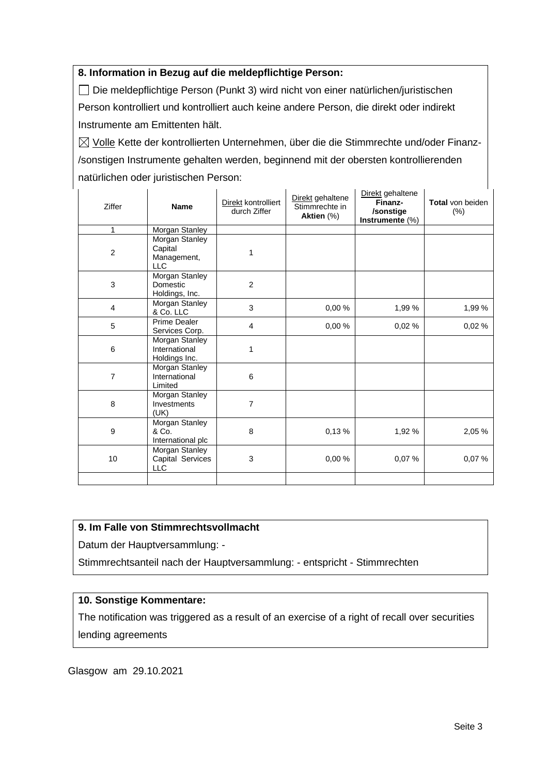### **8. Information in Bezug auf die meldepflichtige Person:**

Die meldepflichtige Person (Punkt 3) wird nicht von einer natürlichen/juristischen Person kontrolliert und kontrolliert auch keine andere Person, die direkt oder indirekt Instrumente am Emittenten hält.

 $\boxtimes$  Volle Kette der kontrollierten Unternehmen, über die die Stimmrechte und/oder Finanz-/sonstigen Instrumente gehalten werden, beginnend mit der obersten kontrollierenden natürlichen oder juristischen Person:

| Ziffer         | <b>Name</b>                                            | Direkt kontrolliert<br>durch Ziffer | Direkt gehaltene<br>Stimmrechte in<br>Aktien (%) | Direkt gehaltene<br>Finanz-<br>/sonstige<br>Instrumente (%) | Total von beiden<br>(%) |
|----------------|--------------------------------------------------------|-------------------------------------|--------------------------------------------------|-------------------------------------------------------------|-------------------------|
| 1              | Morgan Stanley                                         |                                     |                                                  |                                                             |                         |
| $\overline{c}$ | Morgan Stanley<br>Capital<br>Management,<br><b>LLC</b> | 1                                   |                                                  |                                                             |                         |
| 3              | Morgan Stanley<br>Domestic<br>Holdings, Inc.           | $\overline{2}$                      |                                                  |                                                             |                         |
| 4              | Morgan Stanley<br>& Co. LLC                            | 3                                   | 0,00 %                                           | 1,99 %                                                      | 1,99%                   |
| 5              | Prime Dealer<br>Services Corp.                         | $\overline{\mathbf{4}}$             | 0,00%                                            | 0,02%                                                       | 0,02%                   |
| 6              | Morgan Stanley<br>International<br>Holdings Inc.       | 1                                   |                                                  |                                                             |                         |
| $\overline{7}$ | Morgan Stanley<br>International<br>Limited             | 6                                   |                                                  |                                                             |                         |
| 8              | Morgan Stanley<br>Investments<br>(UK)                  | 7                                   |                                                  |                                                             |                         |
| 9              | <b>Morgan Stanley</b><br>& Co.<br>International plc    | 8                                   | 0,13%                                            | 1,92 %                                                      | 2,05 %                  |
| 10             | Morgan Stanley<br>Capital Services<br><b>LLC</b>       | 3                                   | 0,00 %                                           | 0,07%                                                       | 0,07%                   |
|                |                                                        |                                     |                                                  |                                                             |                         |

## **9. Im Falle von Stimmrechtsvollmacht**

Datum der Hauptversammlung: -

Stimmrechtsanteil nach der Hauptversammlung: - entspricht - Stimmrechten

#### **10. Sonstige Kommentare:**

The notification was triggered as a result of an exercise of a right of recall over securities lending agreements

Glasgow am 29.10.2021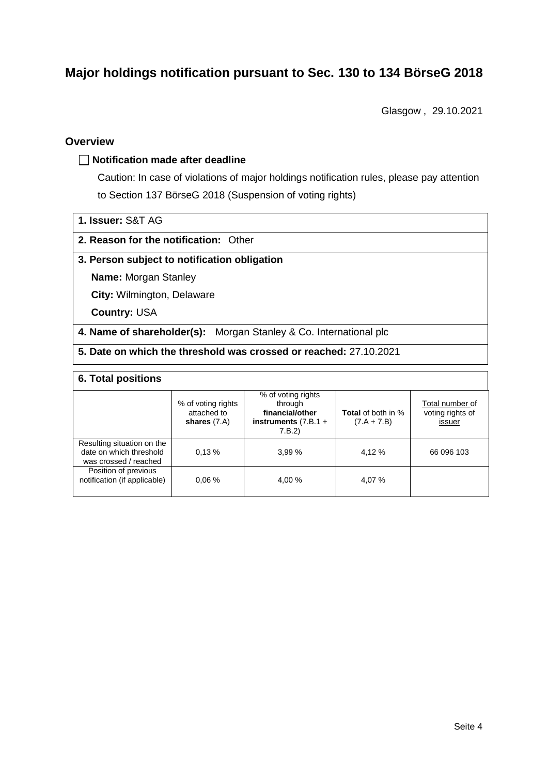# **Major holdings notification pursuant to Sec. 130 to 134 BörseG 2018**

Glasgow , 29.10.2021

### **Overview**

#### **Notification made after deadline**

Caution: In case of violations of major holdings notification rules, please pay attention to Section 137 BörseG 2018 (Suspension of voting rights)

| 1. Issuer: S&T AG |  |
|-------------------|--|
|                   |  |

### **2. Reason for the notification:** Other

#### **3. Person subject to notification obligation**

**Name:** Morgan Stanley

**City:** Wilmington, Delaware

**Country:** USA

**4. Name of shareholder(s):** Morgan Stanley & Co. International plc

**5. Date on which the threshold was crossed or reached:** 27.10.2021

### **6. Total positions**

|                                                                                | % of voting rights<br>attached to<br>shares $(7.A)$ | % of voting rights<br>through<br>financial/other<br>instruments $(7.B.1 +$<br>7.B.2 | <b>Total</b> of both in %<br>$(7.A + 7.B)$ | Total number of<br>voting rights of<br>issuer |
|--------------------------------------------------------------------------------|-----------------------------------------------------|-------------------------------------------------------------------------------------|--------------------------------------------|-----------------------------------------------|
| Resulting situation on the<br>date on which threshold<br>was crossed / reached | 0.13%                                               | 3.99%                                                                               | 4,12 %                                     | 66 096 103                                    |
| Position of previous<br>notification (if applicable)                           | 0.06%                                               | 4.00 %                                                                              | 4.07 %                                     |                                               |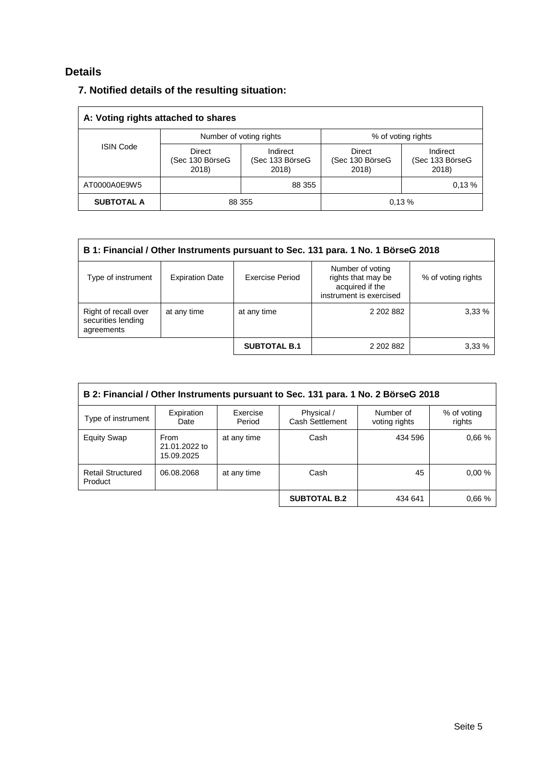# **Details**

## **7. Notified details of the resulting situation:**

| A: Voting rights attached to shares |                                    |                                      |                                           |                                      |  |  |
|-------------------------------------|------------------------------------|--------------------------------------|-------------------------------------------|--------------------------------------|--|--|
|                                     |                                    | Number of voting rights              | % of voting rights                        |                                      |  |  |
| <b>ISIN Code</b>                    | Direct<br>(Sec 130 BörseG<br>2018) | Indirect<br>(Sec 133 BörseG<br>2018) | <b>Direct</b><br>(Sec 130 BörseG<br>2018) | Indirect<br>(Sec 133 BörseG<br>2018) |  |  |
| AT0000A0E9W5                        |                                    | 88 355                               |                                           | 0.13%                                |  |  |
| <b>SUBTOTAL A</b>                   | 88 355                             |                                      |                                           | 0.13%                                |  |  |

| B 1: Financial / Other Instruments pursuant to Sec. 131 para. 1 No. 1 BörseG 2018                                                                                             |             |                     |           |        |  |  |
|-------------------------------------------------------------------------------------------------------------------------------------------------------------------------------|-------------|---------------------|-----------|--------|--|--|
| Number of voting<br>rights that may be<br>Exercise Period<br>Type of instrument<br><b>Expiration Date</b><br>% of voting rights<br>acquired if the<br>instrument is exercised |             |                     |           |        |  |  |
| Right of recall over<br>securities lending<br>agreements                                                                                                                      | at any time | at any time         | 2 202 882 | 3,33%  |  |  |
|                                                                                                                                                                               |             | <b>SUBTOTAL B.1</b> | 2 202 882 | 3.33 % |  |  |

| B 2: Financial / Other Instruments pursuant to Sec. 131 para. 1 No. 2 BörseG 2018 |                                     |                    |                               |                            |                       |
|-----------------------------------------------------------------------------------|-------------------------------------|--------------------|-------------------------------|----------------------------|-----------------------|
| Type of instrument                                                                | Expiration<br>Date                  | Exercise<br>Period | Physical /<br>Cash Settlement | Number of<br>voting rights | % of voting<br>rights |
| <b>Equity Swap</b>                                                                | From<br>21.01.2022 to<br>15.09.2025 | at any time        | Cash                          | 434 596                    | 0.66%                 |
| <b>Retail Structured</b><br>Product                                               | 06.08.2068                          | at any time        | Cash                          | 45                         | 0.00%                 |
|                                                                                   |                                     |                    | <b>SUBTOTAL B.2</b>           | 434 641                    | 0.66%                 |